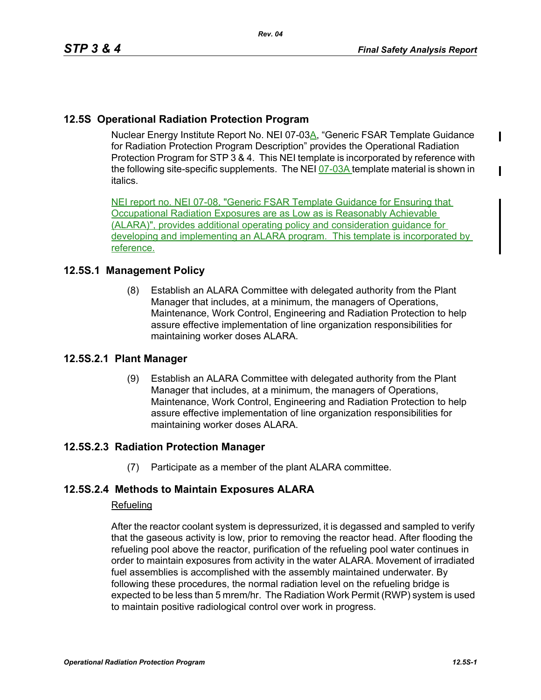## **12.5S Operational Radiation Protection Program**

Nuclear Energy Institute Report No. NEI 07-03A, "Generic FSAR Template Guidance for Radiation Protection Program Description" provides the Operational Radiation Protection Program for STP 3 & 4. This NEI template is incorporated by reference with the following site-specific supplements. The NEI  $Q7-03A$  template material is shown in italics.

NEI report no. NEI 07-08, "Generic FSAR Template Guidance for Ensuring that Occupational Radiation Exposures are as Low as is Reasonably Achievable (ALARA)", provides additional operating policy and consideration guidance for developing and implementing an ALARA program. This template is incorporated by reference.

## **12.5S.1 Management Policy**

(8) Establish an ALARA Committee with delegated authority from the Plant Manager that includes, at a minimum, the managers of Operations, Maintenance, Work Control, Engineering and Radiation Protection to help assure effective implementation of line organization responsibilities for maintaining worker doses ALARA.

## **12.5S.2.1 Plant Manager**

(9) Establish an ALARA Committee with delegated authority from the Plant Manager that includes, at a minimum, the managers of Operations, Maintenance, Work Control, Engineering and Radiation Protection to help assure effective implementation of line organization responsibilities for maintaining worker doses ALARA.

# **12.5S.2.3 Radiation Protection Manager**

(7) Participate as a member of the plant ALARA committee.

# **12.5S.2.4 Methods to Maintain Exposures ALARA**

#### **Refueling**

After the reactor coolant system is depressurized, it is degassed and sampled to verify that the gaseous activity is low, prior to removing the reactor head. After flooding the refueling pool above the reactor, purification of the refueling pool water continues in order to maintain exposures from activity in the water ALARA. Movement of irradiated fuel assemblies is accomplished with the assembly maintained underwater. By following these procedures, the normal radiation level on the refueling bridge is expected to be less than 5 mrem/hr. The Radiation Work Permit (RWP) system is used to maintain positive radiological control over work in progress.